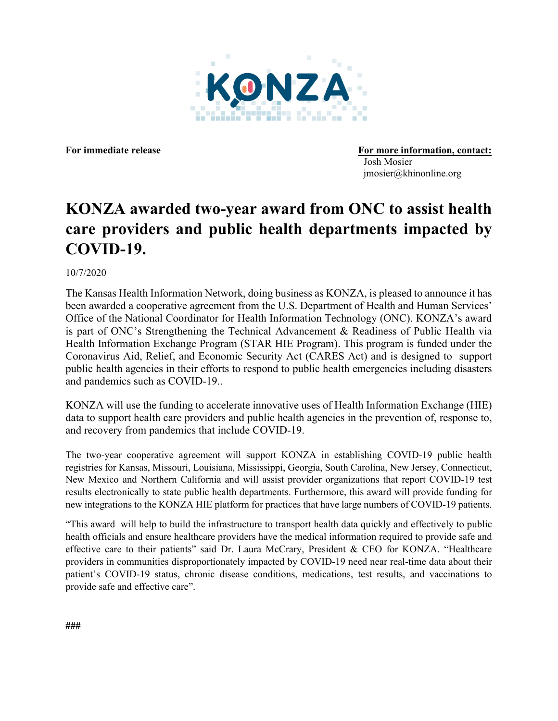

For immediate release **For more information**, contact: Josh Mosier jmosier@khinonline.org

## **KONZA awarded two-year award from ONC to assist health care providers and public health departments impacted by COVID-19.**

10/7/2020

The Kansas Health Information Network, doing business as KONZA, is pleased to announce it has been awarded a cooperative agreement from the U.S. Department of Health and Human Services' Office of the National Coordinator for Health Information Technology (ONC). KONZA's award is part of ONC's Strengthening the Technical Advancement & Readiness of Public Health via Health Information Exchange Program (STAR HIE Program). This program is funded under the Coronavirus Aid, Relief, and Economic Security Act (CARES Act) and is designed to support public health agencies in their efforts to respond to public health emergencies including disasters and pandemics such as COVID-19..

KONZA will use the funding to accelerate innovative uses of Health Information Exchange (HIE) data to support health care providers and public health agencies in the prevention of, response to, and recovery from pandemics that include COVID-19.

The two-year cooperative agreement will support KONZA in establishing COVID-19 public health registries for Kansas, Missouri, Louisiana, Mississippi, Georgia, South Carolina, New Jersey, Connecticut, New Mexico and Northern California and will assist provider organizations that report COVID-19 test results electronically to state public health departments. Furthermore, this award will provide funding for new integrations to the KONZA HIE platform for practices that have large numbers of COVID-19 patients.

"This award will help to build the infrastructure to transport health data quickly and effectively to public health officials and ensure healthcare providers have the medical information required to provide safe and effective care to their patients" said Dr. Laura McCrary, President & CEO for KONZA. "Healthcare providers in communities disproportionately impacted by COVID-19 need near real-time data about their patient's COVID-19 status, chronic disease conditions, medications, test results, and vaccinations to provide safe and effective care".